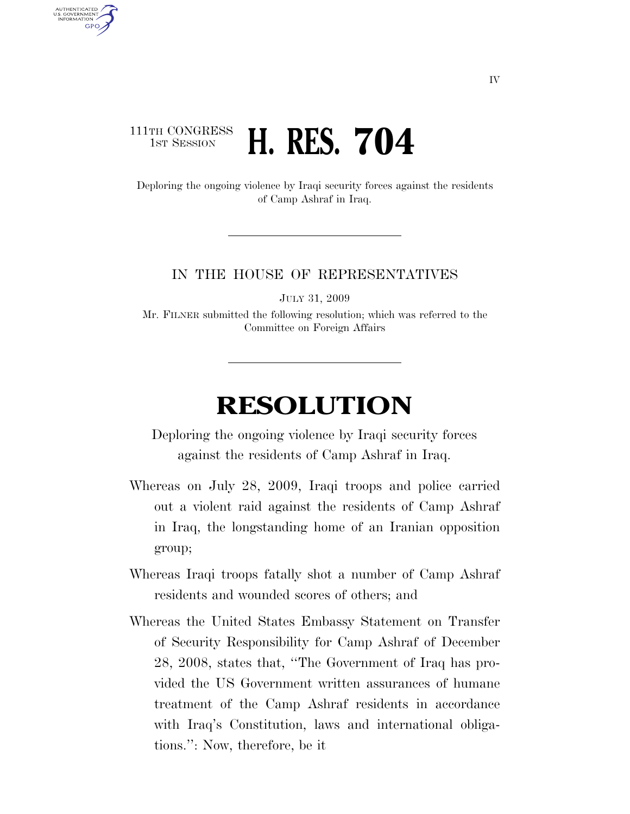## 111TH CONGRESS **1ST SESSION H. RES. 704**

AUTHENTICATED U.S. GOVERNMENT **GPO** 

> Deploring the ongoing violence by Iraqi security forces against the residents of Camp Ashraf in Iraq.

## IN THE HOUSE OF REPRESENTATIVES

JULY 31, 2009

Mr. FILNER submitted the following resolution; which was referred to the Committee on Foreign Affairs

## **RESOLUTION**

Deploring the ongoing violence by Iraqi security forces against the residents of Camp Ashraf in Iraq.

- Whereas on July 28, 2009, Iraqi troops and police carried out a violent raid against the residents of Camp Ashraf in Iraq, the longstanding home of an Iranian opposition group;
- Whereas Iraqi troops fatally shot a number of Camp Ashraf residents and wounded scores of others; and
- Whereas the United States Embassy Statement on Transfer of Security Responsibility for Camp Ashraf of December 28, 2008, states that, ''The Government of Iraq has provided the US Government written assurances of humane treatment of the Camp Ashraf residents in accordance with Iraq's Constitution, laws and international obligations.'': Now, therefore, be it